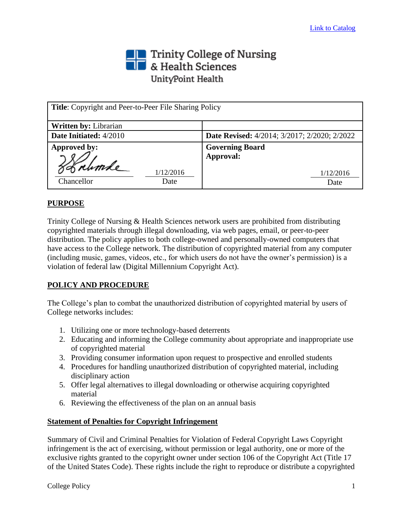## The Trinity College of Nursing<br>The & Health Sciences UnityPoint Health

| <b>Title:</b> Copyright and Peer-to-Peer File Sharing Policy |                                                     |
|--------------------------------------------------------------|-----------------------------------------------------|
| <b>Written by: Librarian</b>                                 |                                                     |
| Date Initiated: 4/2010                                       | <b>Date Revised:</b> 4/2014; 3/2017; 2/2020; 2/2022 |
| Approved by:                                                 | <b>Governing Board</b>                              |
| Jønhande<br>1/12/2016                                        | Approval:<br>1/12/2016                              |
| Chancellor<br>Date                                           | Date                                                |

## **PURPOSE**

Trinity College of Nursing & Health Sciences network users are prohibited from distributing copyrighted materials through illegal downloading, via web pages, email, or peer-to-peer distribution. The policy applies to both college-owned and personally-owned computers that have access to the College network. The distribution of copyrighted material from any computer (including music, games, videos, etc., for which users do not have the owner's permission) is a violation of federal law (Digital Millennium Copyright Act).

## **POLICY AND PROCEDURE**

The College's plan to combat the unauthorized distribution of copyrighted material by users of College networks includes:

- 1. Utilizing one or more technology-based deterrents
- 2. Educating and informing the College community about appropriate and inappropriate use of copyrighted material
- 3. Providing consumer information upon request to prospective and enrolled students
- 4. Procedures for handling unauthorized distribution of copyrighted material, including disciplinary action
- 5. Offer legal alternatives to illegal downloading or otherwise acquiring copyrighted material
- 6. Reviewing the effectiveness of the plan on an annual basis

## **Statement of Penalties for Copyright Infringement**

Summary of Civil and Criminal Penalties for Violation of Federal Copyright Laws Copyright infringement is the act of exercising, without permission or legal authority, one or more of the exclusive rights granted to the copyright owner under section 106 of the Copyright Act (Title 17 of the United States Code). These rights include the right to reproduce or distribute a copyrighted